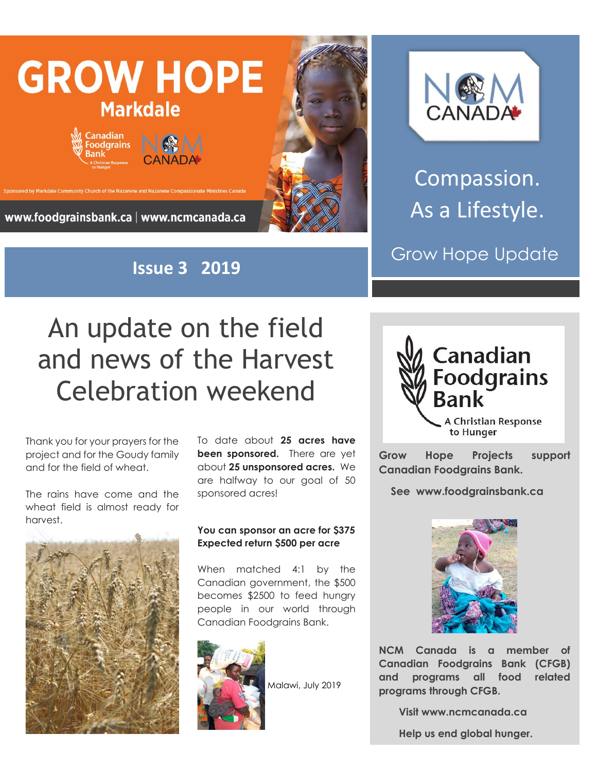

**Issue 3 2019**



Compassion. As a Lifestyle.

Grow Hope Update

## An update on the field and news of the Harvest Celebration weekend

Thank you for your prayers for the project and for the Goudy family and for the field of wheat.

The rains have come and the wheat field is almost ready for harvest.



To date about **25 acres have been sponsored.** There are yet about **25 unsponsored acres.** We are halfway to our goal of 50 sponsored acres!

## **You can sponsor an acre for \$375 Expected return \$500 per acre**

When matched 4:1 by the Canadian government, the \$500 becomes \$2500 to feed hungry people in our world through Canadian Foodgrains Bank.



Malawi, July 2019



**Grow Hope Projects support Canadian Foodgrains Bank.** 

 **See www.foodgrainsbank.ca**



**NCM Canada is a member of Canadian Foodgrains Bank (CFGB) and programs all food related programs through CFGB.**

 **Visit www.ncmcanada.ca**

 **Help us end global hunger.**